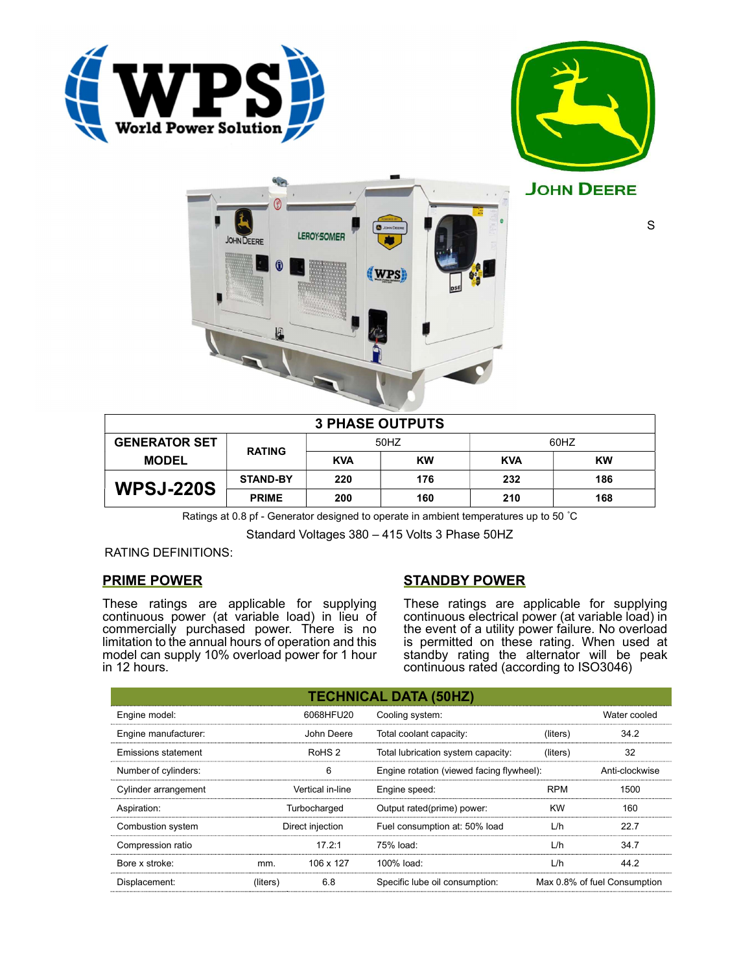





S

| <b>3 PHASE OUTPUTS</b> |                 |            |           |            |           |  |
|------------------------|-----------------|------------|-----------|------------|-----------|--|
| <b>GENERATOR SET</b>   | <b>RATING</b>   | 50HZ       |           | 60HZ       |           |  |
| <b>MODEL</b>           |                 | <b>KVA</b> | <b>KW</b> | <b>KVA</b> | <b>KW</b> |  |
| <b>WPSJ-220S</b>       | <b>STAND-BY</b> | 220        | 176       | 232        | 186       |  |
|                        | <b>PRIME</b>    | 200        | 160       | 210        | 168       |  |

Ratings at 0.8 pf - Generator designed to operate in ambient temperatures up to 50 °C

Standard Voltages 380 – 415 Volts 3 Phase 50HZ

RATING DEFINITIONS:

## PRIME POWER

These ratings are applicable for supplying continuous power (at variable load) in lieu of commercially purchased power. There is no limitation to the annual hours of operation and this model can supply 10% overload power for 1 hour in 12 hours.

# STANDBY POWER

These ratings are applicable for supplying continuous electrical power (at variable load) in the event of a utility power failure. No overload is permitted on these rating. When used at standby rating the alternator will be peak continuous rated (according to ISO3046)

| <b>TECHNICAL DATA (50HZ)</b> |                  |                   |                                           |            |                              |  |
|------------------------------|------------------|-------------------|-------------------------------------------|------------|------------------------------|--|
| Engine model:                |                  | 6068HFU20         | Cooling system:                           |            | Water cooled                 |  |
| Engine manufacturer:         |                  | John Deere        | Total coolant capacity:                   | (liters)   | 34.2                         |  |
| Emissions statement          |                  | RoHS <sub>2</sub> | Total lubrication system capacity:        | (liters)   | 32                           |  |
| Number of cylinders:         | 6                |                   | Engine rotation (viewed facing flywheel): |            | Anti-clockwise               |  |
| Cylinder arrangement         |                  | Vertical in-line  | Engine speed:                             | <b>RPM</b> | 1500                         |  |
| Aspiration:                  | Turbocharged     |                   | Output rated(prime) power:                | <b>KW</b>  | 160                          |  |
| Combustion system            | Direct injection |                   | Fuel consumption at: 50% load             | L/h        | 22.7                         |  |
| Compression ratio            |                  | 17.2:1            | 75% load:                                 | L/h        | 34.7                         |  |
| Bore x stroke:               | mm.              | 106 x 127         | 100% load:                                | L/h        | 44.2                         |  |
| Displacement:                | (liters)         | 6.8               | Specific lube oil consumption:            |            | Max 0.8% of fuel Consumption |  |